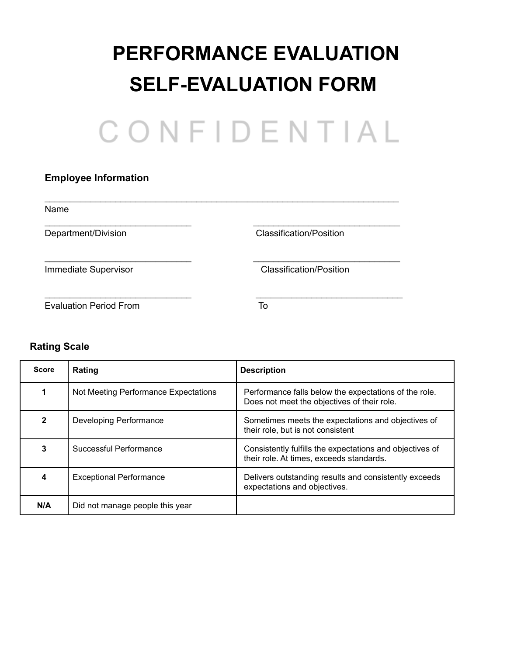# **PERFORMANCE EVALUATION SELF-EVALUATION FORM**

| CONFIDENTIAL |  |  |  |  |  |  |
|--------------|--|--|--|--|--|--|
|              |  |  |  |  |  |  |

## **Employee Information**

| Name                          |                                |
|-------------------------------|--------------------------------|
| Department/Division           | Classification/Position        |
| Immediate Supervisor          | <b>Classification/Position</b> |
| <b>Evaluation Period From</b> | To                             |

## **Rating Scale**

| <b>Score</b> | Rating                               | <b>Description</b>                                                                                   |
|--------------|--------------------------------------|------------------------------------------------------------------------------------------------------|
|              | Not Meeting Performance Expectations | Performance falls below the expectations of the role.<br>Does not meet the objectives of their role. |
| $\mathbf{2}$ | Developing Performance               | Sometimes meets the expectations and objectives of<br>their role, but is not consistent              |
| 3            | Successful Performance               | Consistently fulfills the expectations and objectives of<br>their role. At times, exceeds standards. |
| 4            | <b>Exceptional Performance</b>       | Delivers outstanding results and consistently exceeds<br>expectations and objectives.                |
| N/A          | Did not manage people this year      |                                                                                                      |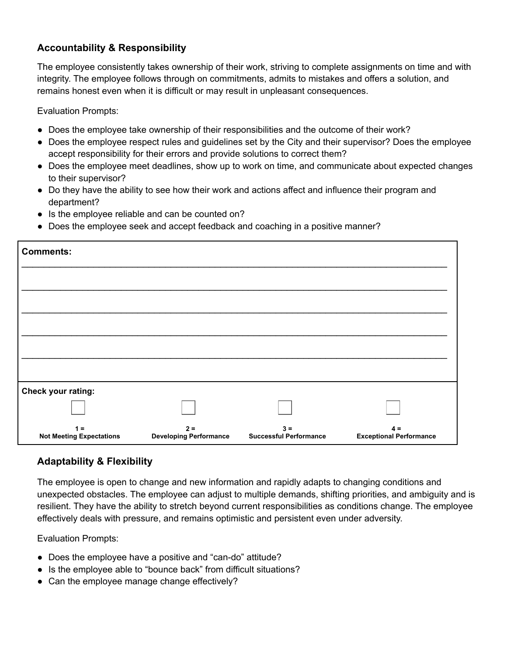## **Accountability & Responsibility**

The employee consistently takes ownership of their work, striving to complete assignments on time and with integrity. The employee follows through on commitments, admits to mistakes and offers a solution, and remains honest even when it is difficult or may result in unpleasant consequences.

Evaluation Prompts:

- Does the employee take ownership of their responsibilities and the outcome of their work?
- Does the employee respect rules and guidelines set by the City and their supervisor? Does the employee accept responsibility for their errors and provide solutions to correct them?
- Does the employee meet deadlines, show up to work on time, and communicate about expected changes to their supervisor?
- Do they have the ability to see how their work and actions affect and influence their program and department?
- Is the employee reliable and can be counted on?
- Does the employee seek and accept feedback and coaching in a positive manner?

| <b>Comments:</b>                         |                                        |                                        |                                         |
|------------------------------------------|----------------------------------------|----------------------------------------|-----------------------------------------|
|                                          |                                        |                                        |                                         |
|                                          |                                        |                                        |                                         |
|                                          |                                        |                                        |                                         |
|                                          |                                        |                                        |                                         |
|                                          |                                        |                                        |                                         |
| Check your rating:                       |                                        |                                        |                                         |
|                                          |                                        |                                        |                                         |
| $1 =$<br><b>Not Meeting Expectations</b> | $2 =$<br><b>Developing Performance</b> | $3 =$<br><b>Successful Performance</b> | $4 =$<br><b>Exceptional Performance</b> |

#### **Adaptability & Flexibility**

The employee is open to change and new information and rapidly adapts to changing conditions and unexpected obstacles. The employee can adjust to multiple demands, shifting priorities, and ambiguity and is resilient. They have the ability to stretch beyond current responsibilities as conditions change. The employee effectively deals with pressure, and remains optimistic and persistent even under adversity.

- Does the employee have a positive and "can-do" attitude?
- Is the employee able to "bounce back" from difficult situations?
- Can the employee manage change effectively?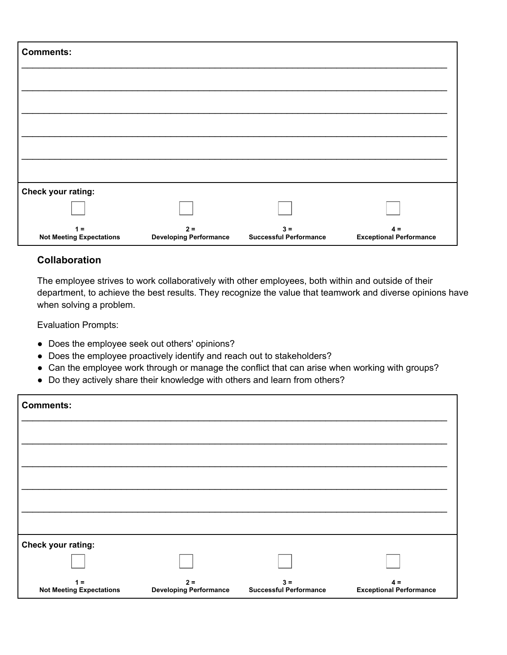| <b>Comments:</b>                         |                                        |                                        |                                         |
|------------------------------------------|----------------------------------------|----------------------------------------|-----------------------------------------|
|                                          |                                        |                                        |                                         |
|                                          |                                        |                                        |                                         |
|                                          |                                        |                                        |                                         |
|                                          |                                        |                                        |                                         |
| Check your rating:                       |                                        |                                        |                                         |
|                                          |                                        |                                        |                                         |
| $1 =$<br><b>Not Meeting Expectations</b> | $2 =$<br><b>Developing Performance</b> | $3 =$<br><b>Successful Performance</b> | $4 =$<br><b>Exceptional Performance</b> |

## **Collaboration**

The employee strives to work collaboratively with other employees, both within and outside of their department, to achieve the best results. They recognize the value that teamwork and diverse opinions have when solving a problem.

- Does the employee seek out others' opinions?
- Does the employee proactively identify and reach out to stakeholders?
- Can the employee work through or manage the conflict that can arise when working with groups?
- Do they actively share their knowledge with others and learn from others?

| <b>Comments:</b>                         |                                        |                                        |                                         |
|------------------------------------------|----------------------------------------|----------------------------------------|-----------------------------------------|
|                                          |                                        |                                        |                                         |
|                                          |                                        |                                        |                                         |
|                                          |                                        |                                        |                                         |
|                                          |                                        |                                        |                                         |
|                                          |                                        |                                        |                                         |
| Check your rating:                       |                                        |                                        |                                         |
|                                          |                                        |                                        |                                         |
| $1 =$<br><b>Not Meeting Expectations</b> | $2 =$<br><b>Developing Performance</b> | $3 =$<br><b>Successful Performance</b> | $4 =$<br><b>Exceptional Performance</b> |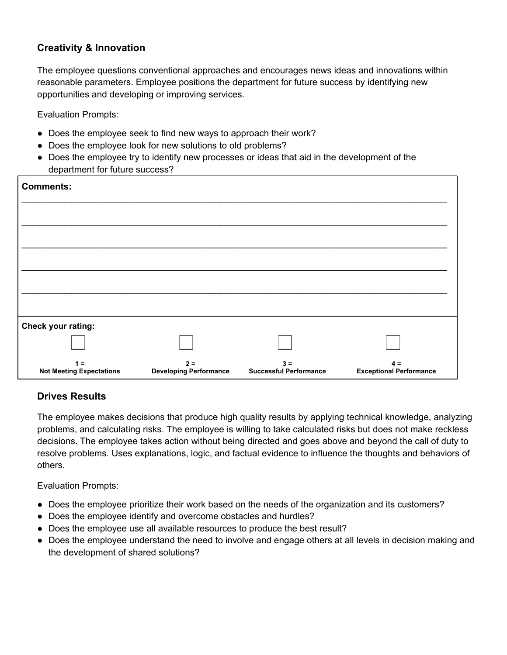## **Creativity & Innovation**

The employee questions conventional approaches and encourages news ideas and innovations within reasonable parameters. Employee positions the department for future success by identifying new opportunities and developing or improving services.

Evaluation Prompts:

- Does the employee seek to find new ways to approach their work?
- Does the employee look for new solutions to old problems?
- Does the employee try to identify new processes or ideas that aid in the development of the department for future success?

| <b>Comments:</b>                         |                                        |                                        |                                         |
|------------------------------------------|----------------------------------------|----------------------------------------|-----------------------------------------|
|                                          |                                        |                                        |                                         |
|                                          |                                        |                                        |                                         |
|                                          |                                        |                                        |                                         |
|                                          |                                        |                                        |                                         |
| Check your rating:                       |                                        |                                        |                                         |
|                                          |                                        |                                        |                                         |
| $1 =$<br><b>Not Meeting Expectations</b> | $2 =$<br><b>Developing Performance</b> | $3 =$<br><b>Successful Performance</b> | $4 =$<br><b>Exceptional Performance</b> |

## **Drives Results**

The employee makes decisions that produce high quality results by applying technical knowledge, analyzing problems, and calculating risks. The employee is willing to take calculated risks but does not make reckless decisions. The employee takes action without being directed and goes above and beyond the call of duty to resolve problems. Uses explanations, logic, and factual evidence to influence the thoughts and behaviors of others.

- Does the employee prioritize their work based on the needs of the organization and its customers?
- Does the employee identify and overcome obstacles and hurdles?
- Does the employee use all available resources to produce the best result?
- Does the employee understand the need to involve and engage others at all levels in decision making and the development of shared solutions?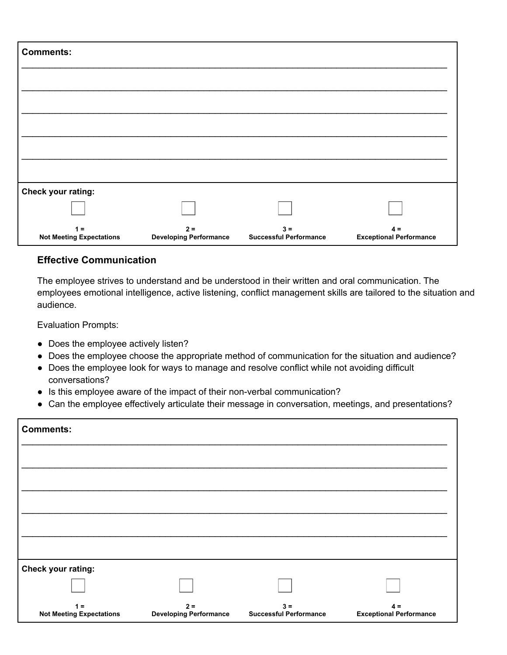| <b>Comments:</b>                         |                                        |                                        |                                         |
|------------------------------------------|----------------------------------------|----------------------------------------|-----------------------------------------|
|                                          |                                        |                                        |                                         |
|                                          |                                        |                                        |                                         |
|                                          |                                        |                                        |                                         |
|                                          |                                        |                                        |                                         |
| Check your rating:                       |                                        |                                        |                                         |
|                                          |                                        |                                        |                                         |
| $1 =$<br><b>Not Meeting Expectations</b> | $2 =$<br><b>Developing Performance</b> | $3 =$<br><b>Successful Performance</b> | $4 =$<br><b>Exceptional Performance</b> |

## **Effective Communication**

The employee strives to understand and be understood in their written and oral communication. The employees emotional intelligence, active listening, conflict management skills are tailored to the situation and audience.

- Does the employee actively listen?
- Does the employee choose the appropriate method of communication for the situation and audience?
- Does the employee look for ways to manage and resolve conflict while not avoiding difficult conversations?
- Is this employee aware of the impact of their non-verbal communication?
- Can the employee effectively articulate their message in conversation, meetings, and presentations?

| <b>Comments:</b>                         |                                        |                                        |                                         |
|------------------------------------------|----------------------------------------|----------------------------------------|-----------------------------------------|
|                                          |                                        |                                        |                                         |
|                                          |                                        |                                        |                                         |
|                                          |                                        |                                        |                                         |
|                                          |                                        |                                        |                                         |
|                                          |                                        |                                        |                                         |
| Check your rating:                       |                                        |                                        |                                         |
|                                          |                                        |                                        |                                         |
| $1 =$<br><b>Not Meeting Expectations</b> | $2 =$<br><b>Developing Performance</b> | $3 =$<br><b>Successful Performance</b> | $4 =$<br><b>Exceptional Performance</b> |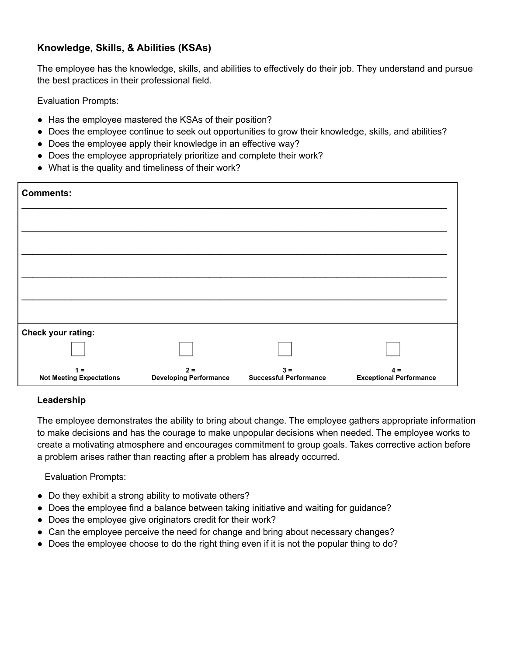## **Knowledge, Skills, & Abilities (KSAs)**

The employee has the knowledge, skills, and abilities to effectively do their job. They understand and pursue the best practices in their professional field.

Evaluation Prompts:

- Has the employee mastered the KSAs of their position?
- Does the employee continue to seek out opportunities to grow their knowledge, skills, and abilities?
- Does the employee apply their knowledge in an effective way?
- Does the employee appropriately prioritize and complete their work?
- What is the quality and timeliness of their work?

| <b>Comments:</b>                         |                                        |                                        |                                         |
|------------------------------------------|----------------------------------------|----------------------------------------|-----------------------------------------|
|                                          |                                        |                                        |                                         |
|                                          |                                        |                                        |                                         |
|                                          |                                        |                                        |                                         |
|                                          |                                        |                                        |                                         |
| Check your rating:                       |                                        |                                        |                                         |
|                                          |                                        |                                        |                                         |
| $1 =$<br><b>Not Meeting Expectations</b> | $2 =$<br><b>Developing Performance</b> | $3 =$<br><b>Successful Performance</b> | $4 =$<br><b>Exceptional Performance</b> |

#### **Leadership**

The employee demonstrates the ability to bring about change. The employee gathers appropriate information to make decisions and has the courage to make unpopular decisions when needed. The employee works to create a motivating atmosphere and encourages commitment to group goals. Takes corrective action before a problem arises rather than reacting after a problem has already occurred.

- Do they exhibit a strong ability to motivate others?
- Does the employee find a balance between taking initiative and waiting for guidance?
- Does the employee give originators credit for their work?
- Can the employee perceive the need for change and bring about necessary changes?
- Does the employee choose to do the right thing even if it is not the popular thing to do?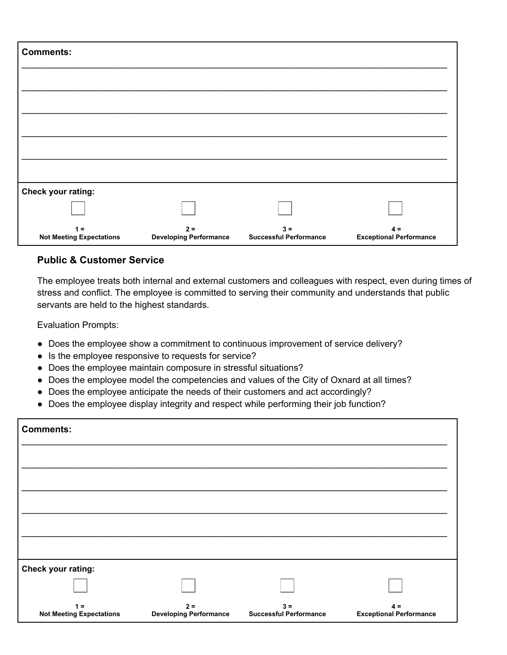| <b>Comments:</b>                         |                                        |                                        |                                         |
|------------------------------------------|----------------------------------------|----------------------------------------|-----------------------------------------|
|                                          |                                        |                                        |                                         |
|                                          |                                        |                                        |                                         |
|                                          |                                        |                                        |                                         |
|                                          |                                        |                                        |                                         |
|                                          |                                        |                                        |                                         |
| Check your rating:                       |                                        |                                        |                                         |
|                                          |                                        |                                        |                                         |
| $1 =$<br><b>Not Meeting Expectations</b> | $2 =$<br><b>Developing Performance</b> | $3 =$<br><b>Successful Performance</b> | $4 =$<br><b>Exceptional Performance</b> |

## **Public & Customer Service**

The employee treats both internal and external customers and colleagues with respect, even during times of stress and conflict. The employee is committed to serving their community and understands that public servants are held to the highest standards.

- Does the employee show a commitment to continuous improvement of service delivery?
- Is the employee responsive to requests for service?
- Does the employee maintain composure in stressful situations?
- Does the employee model the competencies and values of the City of Oxnard at all times?
- Does the employee anticipate the needs of their customers and act accordingly?
- Does the employee display integrity and respect while performing their job function?

| <b>Comments:</b>                         |                                        |                                        |                                         |
|------------------------------------------|----------------------------------------|----------------------------------------|-----------------------------------------|
|                                          |                                        |                                        |                                         |
|                                          |                                        |                                        |                                         |
|                                          |                                        |                                        |                                         |
|                                          |                                        |                                        |                                         |
|                                          |                                        |                                        |                                         |
| Check your rating:                       |                                        |                                        |                                         |
|                                          |                                        |                                        |                                         |
| $1 =$<br><b>Not Meeting Expectations</b> | $2 =$<br><b>Developing Performance</b> | $3 =$<br><b>Successful Performance</b> | $4 =$<br><b>Exceptional Performance</b> |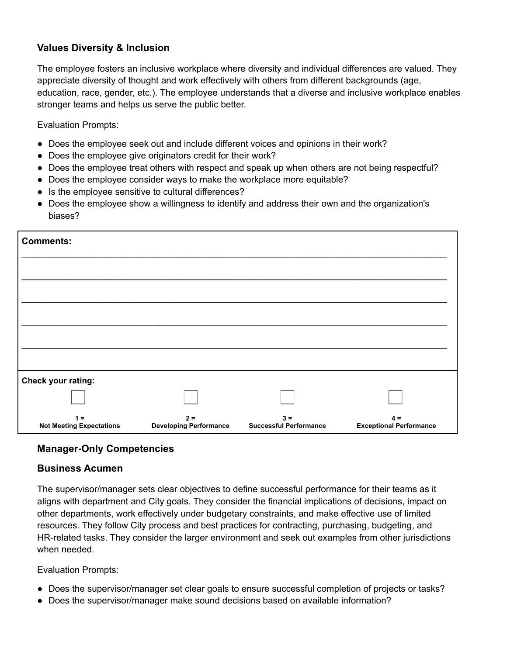## **Values Diversity & Inclusion**

The employee fosters an inclusive workplace where diversity and individual differences are valued. They appreciate diversity of thought and work effectively with others from different backgrounds (age, education, race, gender, etc.). The employee understands that a diverse and inclusive workplace enables stronger teams and helps us serve the public better.

Evaluation Prompts:

- Does the employee seek out and include different voices and opinions in their work?
- Does the employee give originators credit for their work?
- Does the employee treat others with respect and speak up when others are not being respectful?
- Does the employee consider ways to make the workplace more equitable?
- Is the employee sensitive to cultural differences?
- Does the employee show a willingness to identify and address their own and the organization's biases?

| <b>Comments:</b>                         |                                        |                                        |                                         |
|------------------------------------------|----------------------------------------|----------------------------------------|-----------------------------------------|
|                                          |                                        |                                        |                                         |
|                                          |                                        |                                        |                                         |
|                                          |                                        |                                        |                                         |
|                                          |                                        |                                        |                                         |
|                                          |                                        |                                        |                                         |
| Check your rating:                       |                                        |                                        |                                         |
|                                          |                                        |                                        |                                         |
| $1 =$<br><b>Not Meeting Expectations</b> | $2 =$<br><b>Developing Performance</b> | $3 =$<br><b>Successful Performance</b> | $4 =$<br><b>Exceptional Performance</b> |

#### **Manager-Only Competencies**

#### **Business Acumen**

The supervisor/manager sets clear objectives to define successful performance for their teams as it aligns with department and City goals. They consider the financial implications of decisions, impact on other departments, work effectively under budgetary constraints, and make effective use of limited resources. They follow City process and best practices for contracting, purchasing, budgeting, and HR-related tasks. They consider the larger environment and seek out examples from other jurisdictions when needed.

- Does the supervisor/manager set clear goals to ensure successful completion of projects or tasks?
- Does the supervisor/manager make sound decisions based on available information?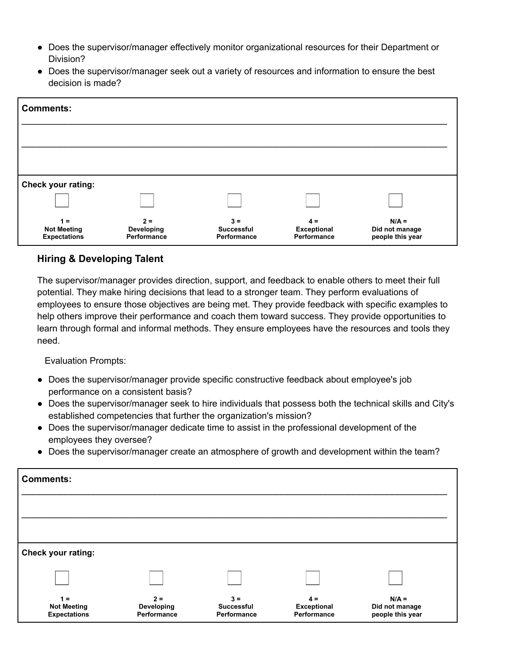- Does the supervisor/manager effectively monitor organizational resources for their Department or Division?
- Does the supervisor/manager seek out a variety of resources and information to ensure the best decision is made?

| <b>Comments:</b>                                   |                                    |                                           |                                            |                                               |
|----------------------------------------------------|------------------------------------|-------------------------------------------|--------------------------------------------|-----------------------------------------------|
|                                                    |                                    |                                           |                                            |                                               |
|                                                    |                                    |                                           |                                            |                                               |
| Check your rating:                                 |                                    |                                           |                                            |                                               |
|                                                    |                                    |                                           |                                            |                                               |
| $1 =$<br><b>Not Meeting</b><br><b>Expectations</b> | $2 =$<br>Developing<br>Performance | $3 =$<br><b>Successful</b><br>Performance | $4 =$<br><b>Exceptional</b><br>Performance | $N/A =$<br>Did not manage<br>people this year |

## **Hiring & Developing Talent**

The supervisor/manager provides direction, support, and feedback to enable others to meet their full potential. They make hiring decisions that lead to a stronger team. They perform evaluations of employees to ensure those objectives are being met. They provide feedback with specific examples to help others improve their performance and coach them toward success. They provide opportunities to learn through formal and informal methods. They ensure employees have the resources and tools they need.

- Does the supervisor/manager provide specific constructive feedback about employee's job performance on a consistent basis?
- Does the supervisor/manager seek to hire individuals that possess both the technical skills and City's established competencies that further the organization's mission?
- Does the supervisor/manager dedicate time to assist in the professional development of the employees they oversee?
- Does the supervisor/manager create an atmosphere of growth and development within the team?

| <b>Comments:</b>                                   |                                    |                                           |                                            |                                               |
|----------------------------------------------------|------------------------------------|-------------------------------------------|--------------------------------------------|-----------------------------------------------|
|                                                    |                                    |                                           |                                            |                                               |
|                                                    |                                    |                                           |                                            |                                               |
| <b>Check your rating:</b>                          |                                    |                                           |                                            |                                               |
|                                                    |                                    |                                           |                                            |                                               |
| $1 =$<br><b>Not Meeting</b><br><b>Expectations</b> | $2 =$<br>Developing<br>Performance | $3 =$<br><b>Successful</b><br>Performance | $4 =$<br><b>Exceptional</b><br>Performance | $N/A =$<br>Did not manage<br>people this year |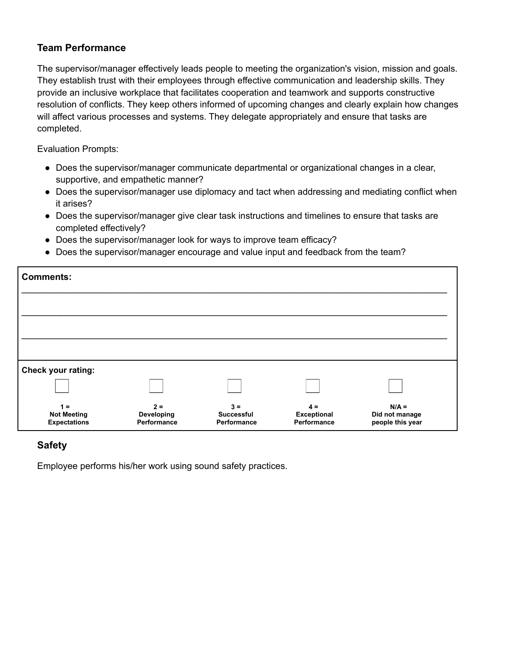## **Team Performance**

The supervisor/manager effectively leads people to meeting the organization's vision, mission and goals. They establish trust with their employees through effective communication and leadership skills. They provide an inclusive workplace that facilitates cooperation and teamwork and supports constructive resolution of conflicts. They keep others informed of upcoming changes and clearly explain how changes will affect various processes and systems. They delegate appropriately and ensure that tasks are completed.

Evaluation Prompts:

- Does the supervisor/manager communicate departmental or organizational changes in a clear, supportive, and empathetic manner?
- Does the supervisor/manager use diplomacy and tact when addressing and mediating conflict when it arises?
- Does the supervisor/manager give clear task instructions and timelines to ensure that tasks are completed effectively?
- Does the supervisor/manager look for ways to improve team efficacy?
- Does the supervisor/manager encourage and value input and feedback from the team?

| <b>Comments:</b>                                   |                                    |                                           |                                            |                                               |
|----------------------------------------------------|------------------------------------|-------------------------------------------|--------------------------------------------|-----------------------------------------------|
|                                                    |                                    |                                           |                                            |                                               |
|                                                    |                                    |                                           |                                            |                                               |
|                                                    |                                    |                                           |                                            |                                               |
| Check your rating:                                 |                                    |                                           |                                            |                                               |
|                                                    |                                    |                                           |                                            |                                               |
| $1 =$<br><b>Not Meeting</b><br><b>Expectations</b> | $2 =$<br>Developing<br>Performance | $3 =$<br><b>Successful</b><br>Performance | $4 =$<br><b>Exceptional</b><br>Performance | $N/A =$<br>Did not manage<br>people this year |

## **Safety**

Employee performs his/her work using sound safety practices.